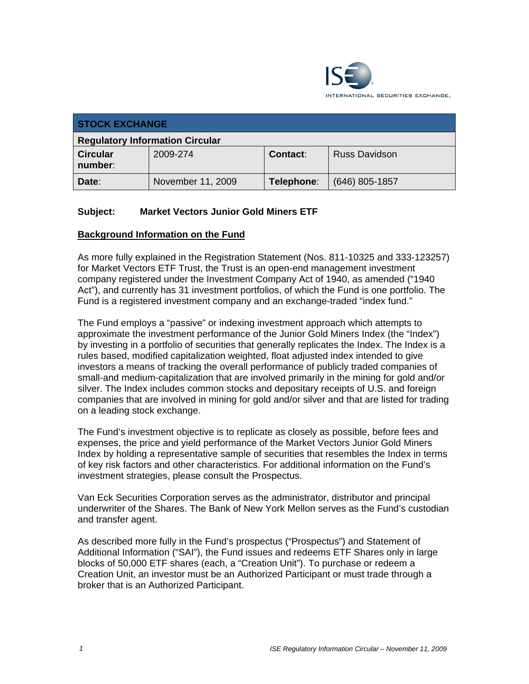

| <b>STOCK EXCHANGE</b>                  |                   |            |                      |  |
|----------------------------------------|-------------------|------------|----------------------|--|
| <b>Regulatory Information Circular</b> |                   |            |                      |  |
| <b>Circular</b><br>number:             | 2009-274          | Contact:   | <b>Russ Davidson</b> |  |
| Date:                                  | November 11, 2009 | Telephone: | $(646)$ 805-1857     |  |

### **Subject: Market Vectors Junior Gold Miners ETF**

#### **Background Information on the Fund**

As more fully explained in the Registration Statement (Nos. 811-10325 and 333-123257) for Market Vectors ETF Trust, the Trust is an open-end management investment company registered under the Investment Company Act of 1940, as amended ("1940 Act"), and currently has 31 investment portfolios, of which the Fund is one portfolio. The Fund is a registered investment company and an exchange-traded "index fund."

The Fund employs a "passive" or indexing investment approach which attempts to approximate the investment performance of the Junior Gold Miners Index (the "Index") by investing in a portfolio of securities that generally replicates the Index. The Index is a rules based, modified capitalization weighted, float adjusted index intended to give investors a means of tracking the overall performance of publicly traded companies of small-and medium-capitalization that are involved primarily in the mining for gold and/or silver. The Index includes common stocks and depositary receipts of U.S. and foreign companies that are involved in mining for gold and/or silver and that are listed for trading on a leading stock exchange.

The Fund's investment objective is to replicate as closely as possible, before fees and expenses, the price and yield performance of the Market Vectors Junior Gold Miners Index by holding a representative sample of securities that resembles the Index in terms of key risk factors and other characteristics. For additional information on the Fund's investment strategies, please consult the Prospectus.

Van Eck Securities Corporation serves as the administrator, distributor and principal underwriter of the Shares. The Bank of New York Mellon serves as the Fund's custodian and transfer agent.

As described more fully in the Fund's prospectus ("Prospectus") and Statement of Additional Information ("SAI"), the Fund issues and redeems ETF Shares only in large blocks of 50,000 ETF shares (each, a "Creation Unit"). To purchase or redeem a Creation Unit, an investor must be an Authorized Participant or must trade through a broker that is an Authorized Participant.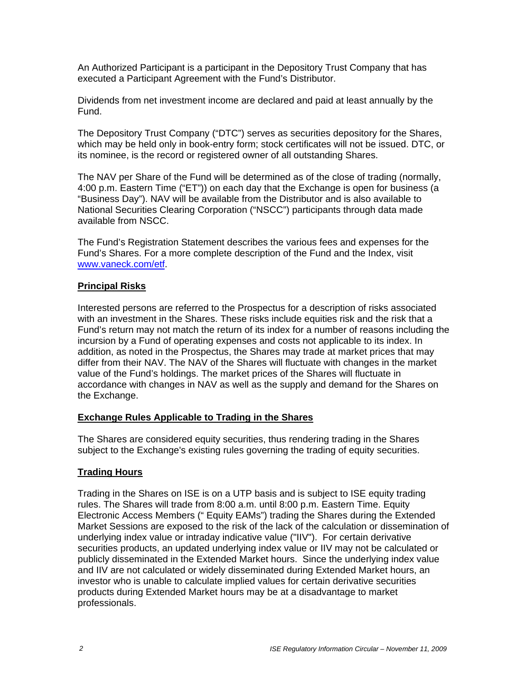An Authorized Participant is a participant in the Depository Trust Company that has executed a Participant Agreement with the Fund's Distributor.

Dividends from net investment income are declared and paid at least annually by the Fund.

The Depository Trust Company ("DTC") serves as securities depository for the Shares, which may be held only in book-entry form; stock certificates will not be issued. DTC, or its nominee, is the record or registered owner of all outstanding Shares.

The NAV per Share of the Fund will be determined as of the close of trading (normally, 4:00 p.m. Eastern Time ("ET")) on each day that the Exchange is open for business (a "Business Day"). NAV will be available from the Distributor and is also available to National Securities Clearing Corporation ("NSCC") participants through data made available from NSCC.

The Fund's Registration Statement describes the various fees and expenses for the Fund's Shares. For a more complete description of the Fund and the Index, visit www.vaneck.com/etf.

#### **Principal Risks**

Interested persons are referred to the Prospectus for a description of risks associated with an investment in the Shares. These risks include equities risk and the risk that a Fund's return may not match the return of its index for a number of reasons including the incursion by a Fund of operating expenses and costs not applicable to its index. In addition, as noted in the Prospectus, the Shares may trade at market prices that may differ from their NAV. The NAV of the Shares will fluctuate with changes in the market value of the Fund's holdings. The market prices of the Shares will fluctuate in accordance with changes in NAV as well as the supply and demand for the Shares on the Exchange.

#### **Exchange Rules Applicable to Trading in the Shares**

The Shares are considered equity securities, thus rendering trading in the Shares subject to the Exchange's existing rules governing the trading of equity securities.

## **Trading Hours**

Trading in the Shares on ISE is on a UTP basis and is subject to ISE equity trading rules. The Shares will trade from 8:00 a.m. until 8:00 p.m. Eastern Time. Equity Electronic Access Members (" Equity EAMs") trading the Shares during the Extended Market Sessions are exposed to the risk of the lack of the calculation or dissemination of underlying index value or intraday indicative value ("IIV"). For certain derivative securities products, an updated underlying index value or IIV may not be calculated or publicly disseminated in the Extended Market hours. Since the underlying index value and IIV are not calculated or widely disseminated during Extended Market hours, an investor who is unable to calculate implied values for certain derivative securities products during Extended Market hours may be at a disadvantage to market professionals.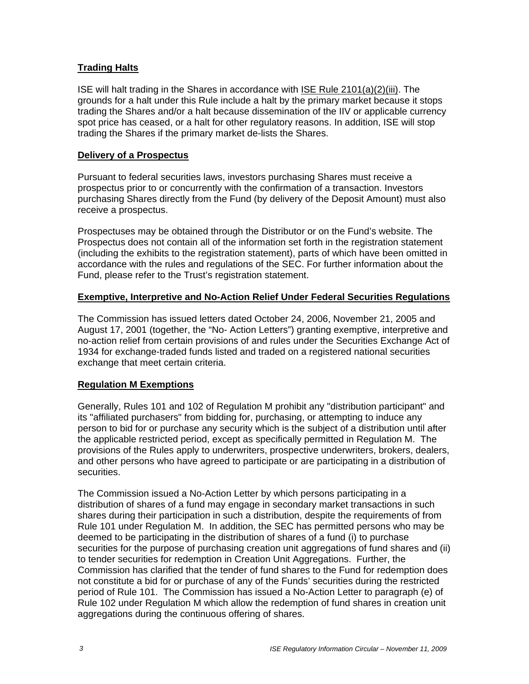### **Trading Halts**

ISE will halt trading in the Shares in accordance with ISE Rule 2101(a)(2)(iii). The grounds for a halt under this Rule include a halt by the primary market because it stops trading the Shares and/or a halt because dissemination of the IIV or applicable currency spot price has ceased, or a halt for other regulatory reasons. In addition, ISE will stop trading the Shares if the primary market de-lists the Shares.

#### **Delivery of a Prospectus**

Pursuant to federal securities laws, investors purchasing Shares must receive a prospectus prior to or concurrently with the confirmation of a transaction. Investors purchasing Shares directly from the Fund (by delivery of the Deposit Amount) must also receive a prospectus.

Prospectuses may be obtained through the Distributor or on the Fund's website. The Prospectus does not contain all of the information set forth in the registration statement (including the exhibits to the registration statement), parts of which have been omitted in accordance with the rules and regulations of the SEC. For further information about the Fund, please refer to the Trust's registration statement.

#### **Exemptive, Interpretive and No-Action Relief Under Federal Securities Regulations**

The Commission has issued letters dated October 24, 2006, November 21, 2005 and August 17, 2001 (together, the "No- Action Letters") granting exemptive, interpretive and no-action relief from certain provisions of and rules under the Securities Exchange Act of 1934 for exchange-traded funds listed and traded on a registered national securities exchange that meet certain criteria.

#### **Regulation M Exemptions**

Generally, Rules 101 and 102 of Regulation M prohibit any "distribution participant" and its "affiliated purchasers" from bidding for, purchasing, or attempting to induce any person to bid for or purchase any security which is the subject of a distribution until after the applicable restricted period, except as specifically permitted in Regulation M. The provisions of the Rules apply to underwriters, prospective underwriters, brokers, dealers, and other persons who have agreed to participate or are participating in a distribution of securities.

The Commission issued a No-Action Letter by which persons participating in a distribution of shares of a fund may engage in secondary market transactions in such shares during their participation in such a distribution, despite the requirements of from Rule 101 under Regulation M. In addition, the SEC has permitted persons who may be deemed to be participating in the distribution of shares of a fund (i) to purchase securities for the purpose of purchasing creation unit aggregations of fund shares and (ii) to tender securities for redemption in Creation Unit Aggregations. Further, the Commission has clarified that the tender of fund shares to the Fund for redemption does not constitute a bid for or purchase of any of the Funds' securities during the restricted period of Rule 101. The Commission has issued a No-Action Letter to paragraph (e) of Rule 102 under Regulation M which allow the redemption of fund shares in creation unit aggregations during the continuous offering of shares.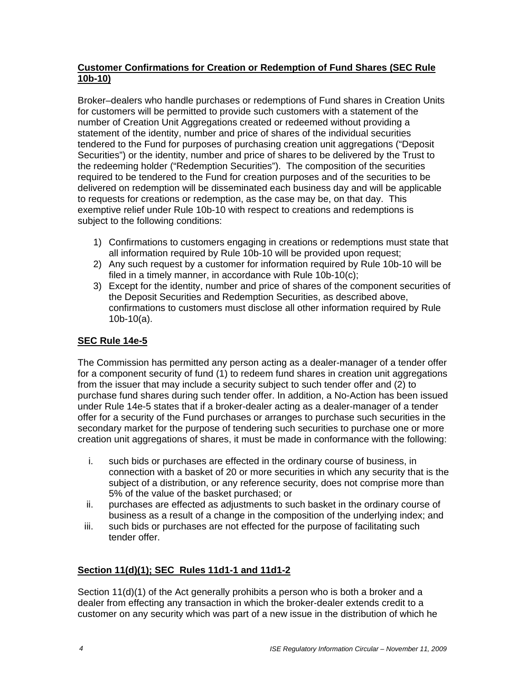#### **Customer Confirmations for Creation or Redemption of Fund Shares (SEC Rule 10b-10)**

Broker–dealers who handle purchases or redemptions of Fund shares in Creation Units for customers will be permitted to provide such customers with a statement of the number of Creation Unit Aggregations created or redeemed without providing a statement of the identity, number and price of shares of the individual securities tendered to the Fund for purposes of purchasing creation unit aggregations ("Deposit Securities") or the identity, number and price of shares to be delivered by the Trust to the redeeming holder ("Redemption Securities"). The composition of the securities required to be tendered to the Fund for creation purposes and of the securities to be delivered on redemption will be disseminated each business day and will be applicable to requests for creations or redemption, as the case may be, on that day. This exemptive relief under Rule 10b-10 with respect to creations and redemptions is subject to the following conditions:

- 1) Confirmations to customers engaging in creations or redemptions must state that all information required by Rule 10b-10 will be provided upon request;
- 2) Any such request by a customer for information required by Rule 10b-10 will be filed in a timely manner, in accordance with Rule 10b-10(c);
- 3) Except for the identity, number and price of shares of the component securities of the Deposit Securities and Redemption Securities, as described above, confirmations to customers must disclose all other information required by Rule 10b-10(a).

## **SEC Rule 14e-5**

The Commission has permitted any person acting as a dealer-manager of a tender offer for a component security of fund (1) to redeem fund shares in creation unit aggregations from the issuer that may include a security subject to such tender offer and (2) to purchase fund shares during such tender offer. In addition, a No-Action has been issued under Rule 14e-5 states that if a broker-dealer acting as a dealer-manager of a tender offer for a security of the Fund purchases or arranges to purchase such securities in the secondary market for the purpose of tendering such securities to purchase one or more creation unit aggregations of shares, it must be made in conformance with the following:

- i. such bids or purchases are effected in the ordinary course of business, in connection with a basket of 20 or more securities in which any security that is the subject of a distribution, or any reference security, does not comprise more than 5% of the value of the basket purchased; or
- ii. purchases are effected as adjustments to such basket in the ordinary course of business as a result of a change in the composition of the underlying index; and
- iii. such bids or purchases are not effected for the purpose of facilitating such tender offer.

## **Section 11(d)(1); SEC Rules 11d1-1 and 11d1-2**

Section 11(d)(1) of the Act generally prohibits a person who is both a broker and a dealer from effecting any transaction in which the broker-dealer extends credit to a customer on any security which was part of a new issue in the distribution of which he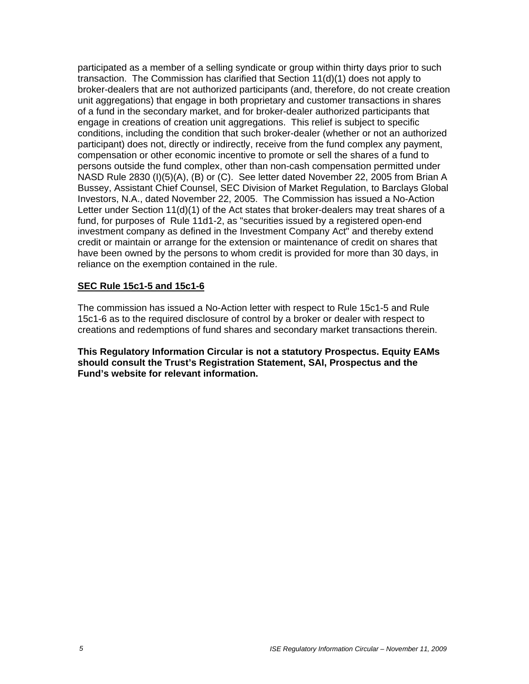participated as a member of a selling syndicate or group within thirty days prior to such transaction. The Commission has clarified that Section 11(d)(1) does not apply to broker-dealers that are not authorized participants (and, therefore, do not create creation unit aggregations) that engage in both proprietary and customer transactions in shares of a fund in the secondary market, and for broker-dealer authorized participants that engage in creations of creation unit aggregations. This relief is subject to specific conditions, including the condition that such broker-dealer (whether or not an authorized participant) does not, directly or indirectly, receive from the fund complex any payment, compensation or other economic incentive to promote or sell the shares of a fund to persons outside the fund complex, other than non-cash compensation permitted under NASD Rule 2830 (I)(5)(A), (B) or (C). See letter dated November 22, 2005 from Brian A Bussey, Assistant Chief Counsel, SEC Division of Market Regulation, to Barclays Global Investors, N.A., dated November 22, 2005. The Commission has issued a No-Action Letter under Section 11(d)(1) of the Act states that broker-dealers may treat shares of a fund, for purposes of Rule 11d1-2, as "securities issued by a registered open-end investment company as defined in the Investment Company Act" and thereby extend credit or maintain or arrange for the extension or maintenance of credit on shares that have been owned by the persons to whom credit is provided for more than 30 days, in reliance on the exemption contained in the rule.

#### **SEC Rule 15c1-5 and 15c1-6**

The commission has issued a No-Action letter with respect to Rule 15c1-5 and Rule 15c1-6 as to the required disclosure of control by a broker or dealer with respect to creations and redemptions of fund shares and secondary market transactions therein.

**This Regulatory Information Circular is not a statutory Prospectus. Equity EAMs should consult the Trust's Registration Statement, SAI, Prospectus and the Fund's website for relevant information.**